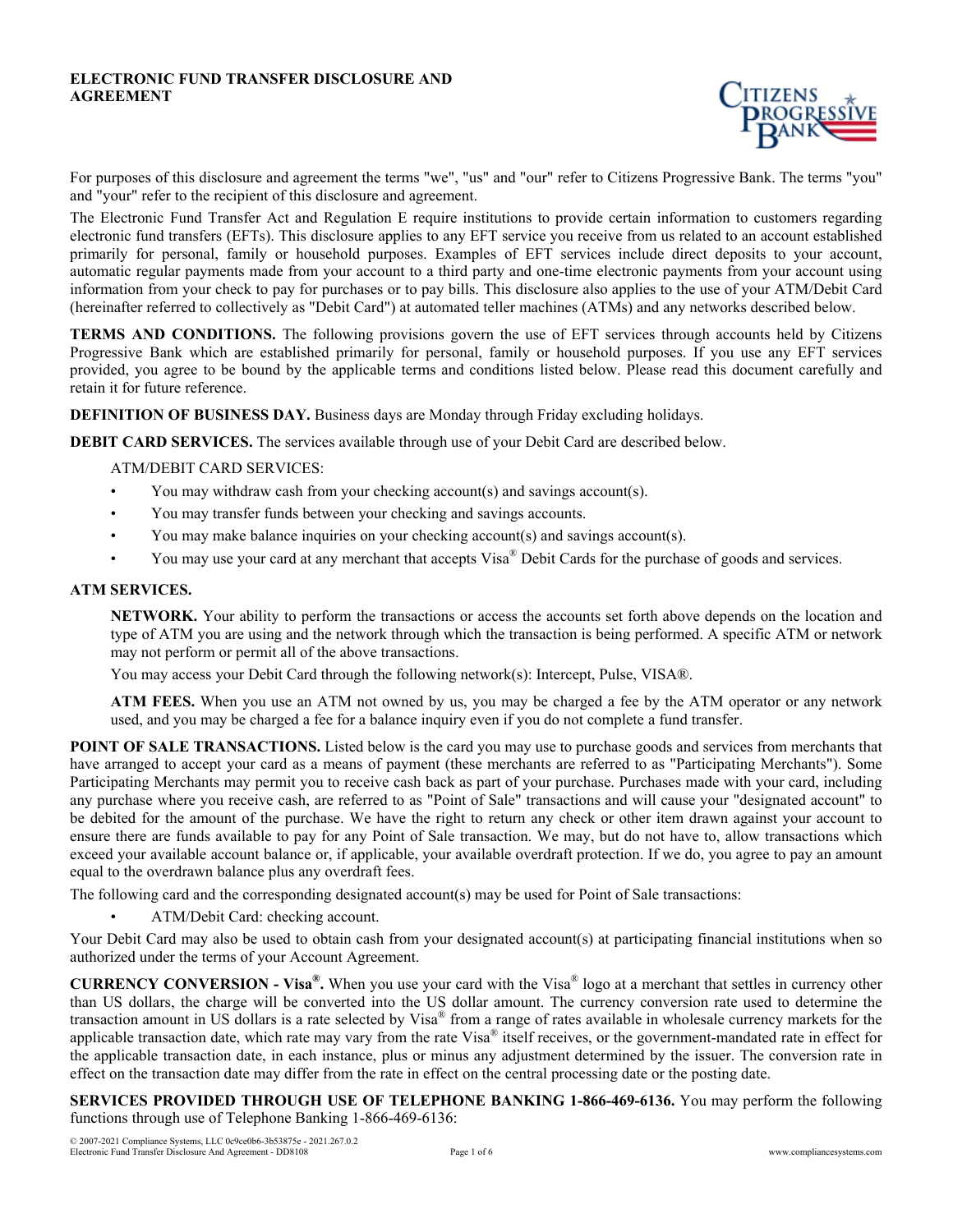#### **ELECTRONIC FUND TRANSFER DISCLOSURE AND AGREEMENT**



For purposes of this disclosure and agreement the terms "we", "us" and "our" refer to Citizens Progressive Bank. The terms "you" and "your" refer to the recipient of this disclosure and agreement.

The Electronic Fund Transfer Act and Regulation E require institutions to provide certain information to customers regarding electronic fund transfers (EFTs). This disclosure applies to any EFT service you receive from us related to an account established primarily for personal, family or household purposes. Examples of EFT services include direct deposits to your account, automatic regular payments made from your account to a third party and one-time electronic payments from your account using information from your check to pay for purchases or to pay bills. This disclosure also applies to the use of your ATM/Debit Card (hereinafter referred to collectively as "Debit Card") at automated teller machines (ATMs) and any networks described below.

**TERMS AND CONDITIONS.** The following provisions govern the use of EFT services through accounts held by Citizens Progressive Bank which are established primarily for personal, family or household purposes. If you use any EFT services provided, you agree to be bound by the applicable terms and conditions listed below. Please read this document carefully and retain it for future reference.

**DEFINITION OF BUSINESS DAY.** Business days are Monday through Friday excluding holidays.

**DEBIT CARD SERVICES.** The services available through use of your Debit Card are described below.

ATM/DEBIT CARD SERVICES:

- You may withdraw cash from your checking account(s) and savings account(s).
- You may transfer funds between your checking and savings accounts.
- You may make balance inquiries on your checking account(s) and savings account(s).
- You may use your card at any merchant that accepts Visa® Debit Cards for the purchase of goods and services.

## **ATM SERVICES.**

**NETWORK.** Your ability to perform the transactions or access the accounts set forth above depends on the location and type of ATM you are using and the network through which the transaction is being performed. A specific ATM or network may not perform or permit all of the above transactions.

You may access your Debit Card through the following network(s): Intercept, Pulse, VISA®.

**ATM FEES.** When you use an ATM not owned by us, you may be charged a fee by the ATM operator or any network used, and you may be charged a fee for a balance inquiry even if you do not complete a fund transfer.

**POINT OF SALE TRANSACTIONS.** Listed below is the card you may use to purchase goods and services from merchants that have arranged to accept your card as a means of payment (these merchants are referred to as "Participating Merchants"). Some Participating Merchants may permit you to receive cash back as part of your purchase. Purchases made with your card, including any purchase where you receive cash, are referred to as "Point of Sale" transactions and will cause your "designated account" to be debited for the amount of the purchase. We have the right to return any check or other item drawn against your account to ensure there are funds available to pay for any Point of Sale transaction. We may, but do not have to, allow transactions which exceed your available account balance or, if applicable, your available overdraft protection. If we do, you agree to pay an amount equal to the overdrawn balance plus any overdraft fees.

The following card and the corresponding designated account(s) may be used for Point of Sale transactions:

• ATM/Debit Card: checking account.

Your Debit Card may also be used to obtain cash from your designated account(s) at participating financial institutions when so authorized under the terms of your Account Agreement.

**CURRENCY CONVERSION - Visa® .** When you use your card with the Visa® logo at a merchant that settles in currency other than US dollars, the charge will be converted into the US dollar amount. The currency conversion rate used to determine the transaction amount in US dollars is a rate selected by Visa® from a range of rates available in wholesale currency markets for the applicable transaction date, which rate may vary from the rate Visa® itself receives, or the government-mandated rate in effect for the applicable transaction date, in each instance, plus or minus any adjustment determined by the issuer. The conversion rate in effect on the transaction date may differ from the rate in effect on the central processing date or the posting date.

**SERVICES PROVIDED THROUGH USE OF TELEPHONE BANKING 1-866-469-6136.** You may perform the following functions through use of Telephone Banking 1-866-469-6136: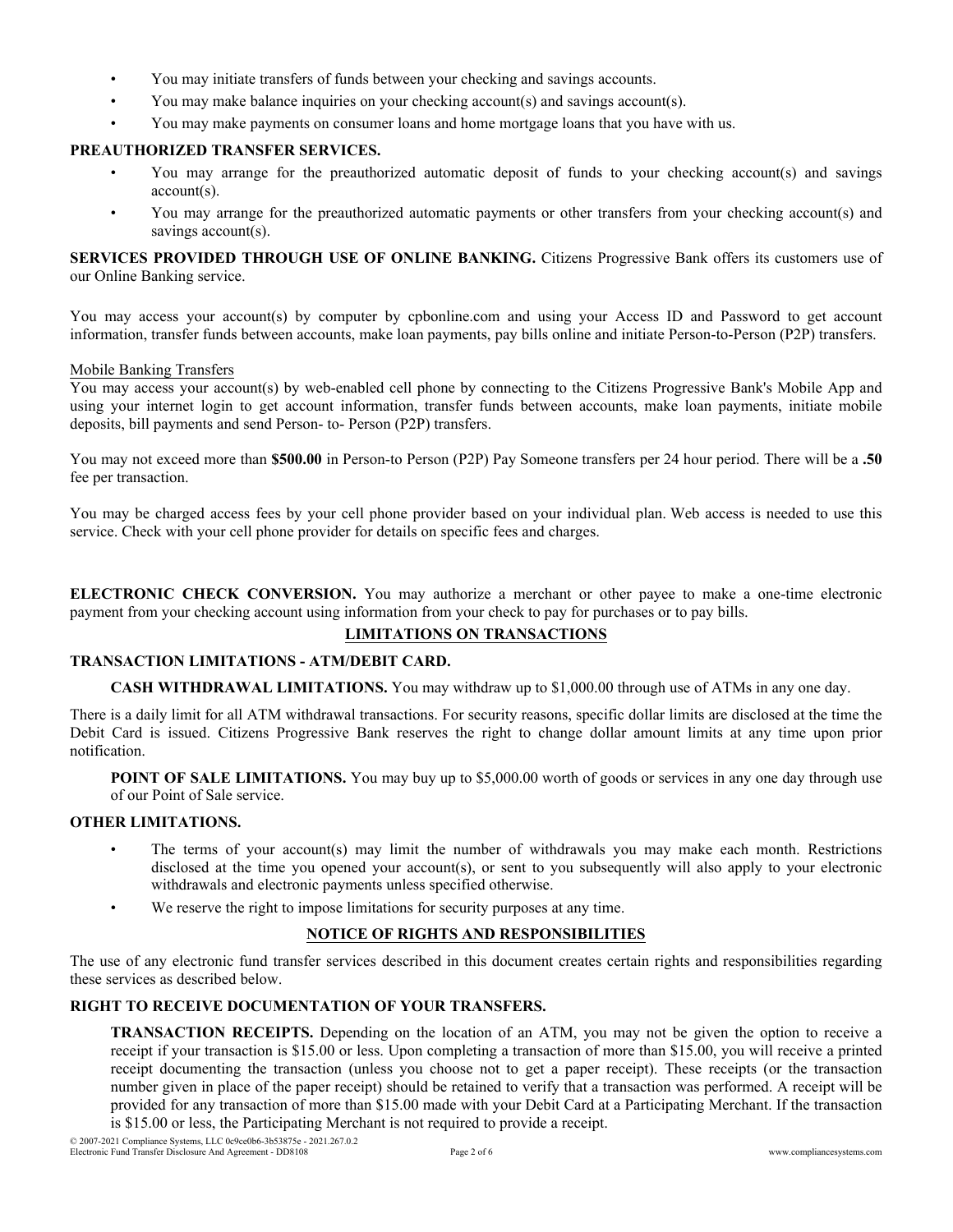- You may initiate transfers of funds between your checking and savings accounts.
- You may make balance inquiries on your checking account(s) and savings account(s).
- You may make payments on consumer loans and home mortgage loans that you have with us.

# **PREAUTHORIZED TRANSFER SERVICES.**

- You may arrange for the preauthorized automatic deposit of funds to your checking account(s) and savings account(s).
- You may arrange for the preauthorized automatic payments or other transfers from your checking account(s) and savings account(s).

**SERVICES PROVIDED THROUGH USE OF ONLINE BANKING.** Citizens Progressive Bank offers its customers use of our Online Banking service.

You may access your account(s) by computer by cpbonline.com and using your Access ID and Password to get account information, transfer funds between accounts, make loan payments, pay bills online and initiate Person-to-Person (P2P) transfers.

#### Mobile Banking Transfers

You may access your account(s) by web-enabled cell phone by connecting to the Citizens Progressive Bank's Mobile App and using your internet login to get account information, transfer funds between accounts, make loan payments, initiate mobile deposits, bill payments and send Person- to- Person (P2P) transfers.

You may not exceed more than **\$500.00** in Person-to Person (P2P) Pay Someone transfers per 24 hour period. There will be a **.50** fee per transaction.

You may be charged access fees by your cell phone provider based on your individual plan. Web access is needed to use this service. Check with your cell phone provider for details on specific fees and charges.

**ELECTRONIC CHECK CONVERSION.** You may authorize a merchant or other payee to make a one-time electronic payment from your checking account using information from your check to pay for purchases or to pay bills.

# **LIMITATIONS ON TRANSACTIONS**

#### **TRANSACTION LIMITATIONS - ATM/DEBIT CARD.**

**CASH WITHDRAWAL LIMITATIONS.** You may withdraw up to \$1,000.00 through use of ATMs in any one day.

There is a daily limit for all ATM withdrawal transactions. For security reasons, specific dollar limits are disclosed at the time the Debit Card is issued. Citizens Progressive Bank reserves the right to change dollar amount limits at any time upon prior notification.

**POINT OF SALE LIMITATIONS.** You may buy up to \$5,000.00 worth of goods or services in any one day through use of our Point of Sale service.

# **OTHER LIMITATIONS.**

- The terms of your account(s) may limit the number of withdrawals you may make each month. Restrictions disclosed at the time you opened your account(s), or sent to you subsequently will also apply to your electronic withdrawals and electronic payments unless specified otherwise.
- We reserve the right to impose limitations for security purposes at any time.

# **NOTICE OF RIGHTS AND RESPONSIBILITIES**

The use of any electronic fund transfer services described in this document creates certain rights and responsibilities regarding these services as described below.

## **RIGHT TO RECEIVE DOCUMENTATION OF YOUR TRANSFERS.**

**TRANSACTION RECEIPTS.** Depending on the location of an ATM, you may not be given the option to receive a receipt if your transaction is \$15.00 or less. Upon completing a transaction of more than \$15.00, you will receive a printed receipt documenting the transaction (unless you choose not to get a paper receipt). These receipts (or the transaction number given in place of the paper receipt) should be retained to verify that a transaction was performed. A receipt will be provided for any transaction of more than \$15.00 made with your Debit Card at a Participating Merchant. If the transaction is \$15.00 or less, the Participating Merchant is not required to provide a receipt.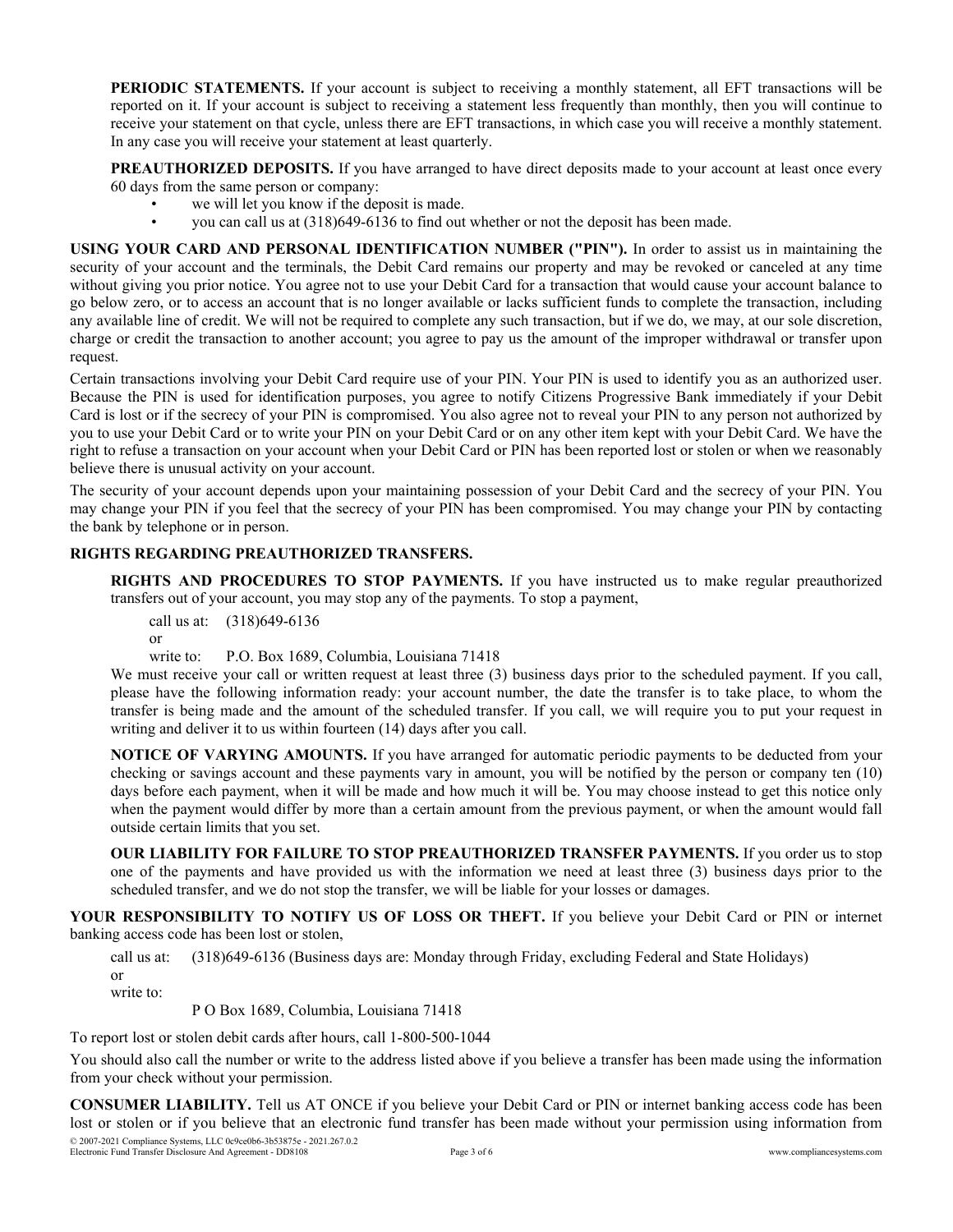**PERIODIC STATEMENTS.** If your account is subject to receiving a monthly statement, all EFT transactions will be reported on it. If your account is subject to receiving a statement less frequently than monthly, then you will continue to receive your statement on that cycle, unless there are EFT transactions, in which case you will receive a monthly statement. In any case you will receive your statement at least quarterly.

**PREAUTHORIZED DEPOSITS.** If you have arranged to have direct deposits made to your account at least once every 60 days from the same person or company:

- we will let you know if the deposit is made.
- you can call us at (318)649-6136 to find out whether or not the deposit has been made.

**USING YOUR CARD AND PERSONAL IDENTIFICATION NUMBER ("PIN").** In order to assist us in maintaining the security of your account and the terminals, the Debit Card remains our property and may be revoked or canceled at any time without giving you prior notice. You agree not to use your Debit Card for a transaction that would cause your account balance to go below zero, or to access an account that is no longer available or lacks sufficient funds to complete the transaction, including any available line of credit. We will not be required to complete any such transaction, but if we do, we may, at our sole discretion, charge or credit the transaction to another account; you agree to pay us the amount of the improper withdrawal or transfer upon request.

Certain transactions involving your Debit Card require use of your PIN. Your PIN is used to identify you as an authorized user. Because the PIN is used for identification purposes, you agree to notify Citizens Progressive Bank immediately if your Debit Card is lost or if the secrecy of your PIN is compromised. You also agree not to reveal your PIN to any person not authorized by you to use your Debit Card or to write your PIN on your Debit Card or on any other item kept with your Debit Card. We have the right to refuse a transaction on your account when your Debit Card or PIN has been reported lost or stolen or when we reasonably believe there is unusual activity on your account.

The security of your account depends upon your maintaining possession of your Debit Card and the secrecy of your PIN. You may change your PIN if you feel that the secrecy of your PIN has been compromised. You may change your PIN by contacting the bank by telephone or in person.

# **RIGHTS REGARDING PREAUTHORIZED TRANSFERS.**

**RIGHTS AND PROCEDURES TO STOP PAYMENTS.** If you have instructed us to make regular preauthorized transfers out of your account, you may stop any of the payments. To stop a payment,

call us at: (318)649-6136

or

write to: P.O. Box 1689, Columbia, Louisiana 71418

We must receive your call or written request at least three (3) business days prior to the scheduled payment. If you call, please have the following information ready: your account number, the date the transfer is to take place, to whom the transfer is being made and the amount of the scheduled transfer. If you call, we will require you to put your request in writing and deliver it to us within fourteen (14) days after you call.

**NOTICE OF VARYING AMOUNTS.** If you have arranged for automatic periodic payments to be deducted from your checking or savings account and these payments vary in amount, you will be notified by the person or company ten (10) days before each payment, when it will be made and how much it will be. You may choose instead to get this notice only when the payment would differ by more than a certain amount from the previous payment, or when the amount would fall outside certain limits that you set.

**OUR LIABILITY FOR FAILURE TO STOP PREAUTHORIZED TRANSFER PAYMENTS.** If you order us to stop one of the payments and have provided us with the information we need at least three (3) business days prior to the scheduled transfer, and we do not stop the transfer, we will be liable for your losses or damages.

**YOUR RESPONSIBILITY TO NOTIFY US OF LOSS OR THEFT.** If you believe your Debit Card or PIN or internet banking access code has been lost or stolen,

call us at: (318)649-6136 (Business days are: Monday through Friday, excluding Federal and State Holidays) or

write to:

P O Box 1689, Columbia, Louisiana 71418

To report lost or stolen debit cards after hours, call 1-800-500-1044

You should also call the number or write to the address listed above if you believe a transfer has been made using the information from your check without your permission.

**CONSUMER LIABILITY.** Tell us AT ONCE if you believe your Debit Card or PIN or internet banking access code has been lost or stolen or if you believe that an electronic fund transfer has been made without your permission using information from © 2007-2021 Compliance Systems, LLC 0c9ce0b6-3b53875e - 2021.267.0.2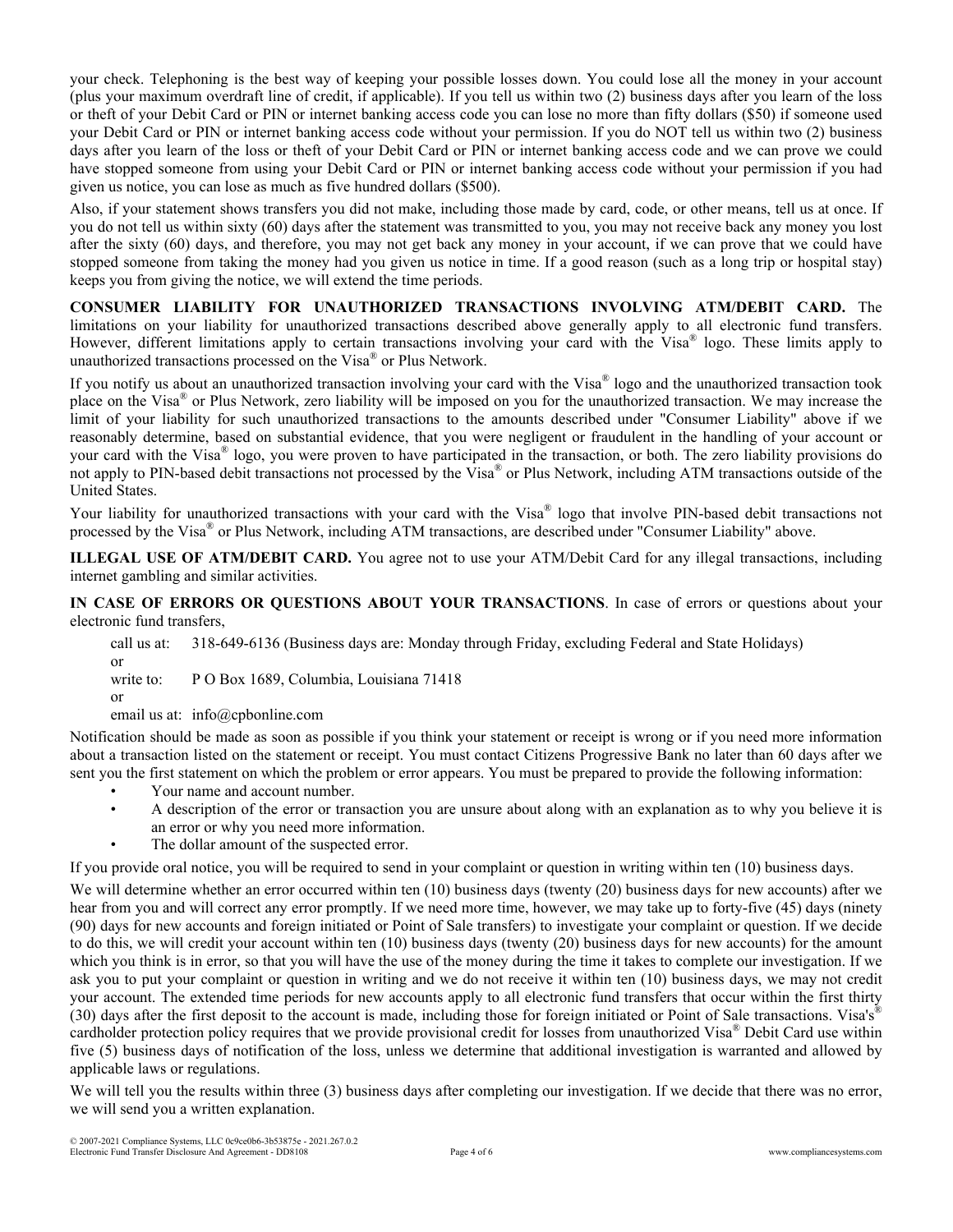your check. Telephoning is the best way of keeping your possible losses down. You could lose all the money in your account (plus your maximum overdraft line of credit, if applicable). If you tell us within two (2) business days after you learn of the loss or theft of your Debit Card or PIN or internet banking access code you can lose no more than fifty dollars (\$50) if someone used your Debit Card or PIN or internet banking access code without your permission. If you do NOT tell us within two (2) business days after you learn of the loss or theft of your Debit Card or PIN or internet banking access code and we can prove we could have stopped someone from using your Debit Card or PIN or internet banking access code without your permission if you had given us notice, you can lose as much as five hundred dollars (\$500).

Also, if your statement shows transfers you did not make, including those made by card, code, or other means, tell us at once. If you do not tell us within sixty (60) days after the statement was transmitted to you, you may not receive back any money you lost after the sixty (60) days, and therefore, you may not get back any money in your account, if we can prove that we could have stopped someone from taking the money had you given us notice in time. If a good reason (such as a long trip or hospital stay) keeps you from giving the notice, we will extend the time periods.

**CONSUMER LIABILITY FOR UNAUTHORIZED TRANSACTIONS INVOLVING ATM/DEBIT CARD.** The limitations on your liability for unauthorized transactions described above generally apply to all electronic fund transfers. However, different limitations apply to certain transactions involving your card with the Visa® logo. These limits apply to unauthorized transactions processed on the Visa® or Plus Network.

If you notify us about an unauthorized transaction involving your card with the Visa® logo and the unauthorized transaction took place on the Visa® or Plus Network, zero liability will be imposed on you for the unauthorized transaction. We may increase the limit of your liability for such unauthorized transactions to the amounts described under "Consumer Liability" above if we reasonably determine, based on substantial evidence, that you were negligent or fraudulent in the handling of your account or your card with the Visa® logo, you were proven to have participated in the transaction, or both. The zero liability provisions do not apply to PIN-based debit transactions not processed by the Visa® or Plus Network, including ATM transactions outside of the United States.

Your liability for unauthorized transactions with your card with the Visa® logo that involve PIN-based debit transactions not processed by the Visa® or Plus Network, including ATM transactions, are described under "Consumer Liability" above.

**ILLEGAL USE OF ATM/DEBIT CARD.** You agree not to use your ATM/Debit Card for any illegal transactions, including internet gambling and similar activities.

**IN CASE OF ERRORS OR QUESTIONS ABOUT YOUR TRANSACTIONS**. In case of errors or questions about your electronic fund transfers,

call us at: 318-649-6136 (Business days are: Monday through Friday, excluding Federal and State Holidays) or write to: P O Box 1689, Columbia, Louisiana 71418

email us at: info@cpbonline.com

Notification should be made as soon as possible if you think your statement or receipt is wrong or if you need more information about a transaction listed on the statement or receipt. You must contact Citizens Progressive Bank no later than 60 days after we sent you the first statement on which the problem or error appears. You must be prepared to provide the following information:

- Your name and account number.
- A description of the error or transaction you are unsure about along with an explanation as to why you believe it is an error or why you need more information.
- The dollar amount of the suspected error.

If you provide oral notice, you will be required to send in your complaint or question in writing within ten (10) business days.

We will determine whether an error occurred within ten (10) business days (twenty (20) business days for new accounts) after we hear from you and will correct any error promptly. If we need more time, however, we may take up to forty-five (45) days (ninety (90) days for new accounts and foreign initiated or Point of Sale transfers) to investigate your complaint or question. If we decide to do this, we will credit your account within ten (10) business days (twenty (20) business days for new accounts) for the amount which you think is in error, so that you will have the use of the money during the time it takes to complete our investigation. If we ask you to put your complaint or question in writing and we do not receive it within ten (10) business days, we may not credit your account. The extended time periods for new accounts apply to all electronic fund transfers that occur within the first thirty (30) days after the first deposit to the account is made, including those for foreign initiated or Point of Sale transactions. Visa's<sup>®</sup> cardholder protection policy requires that we provide provisional credit for losses from unauthorized Visa® Debit Card use within five (5) business days of notification of the loss, unless we determine that additional investigation is warranted and allowed by applicable laws or regulations.

We will tell you the results within three (3) business days after completing our investigation. If we decide that there was no error, we will send you a written explanation.

or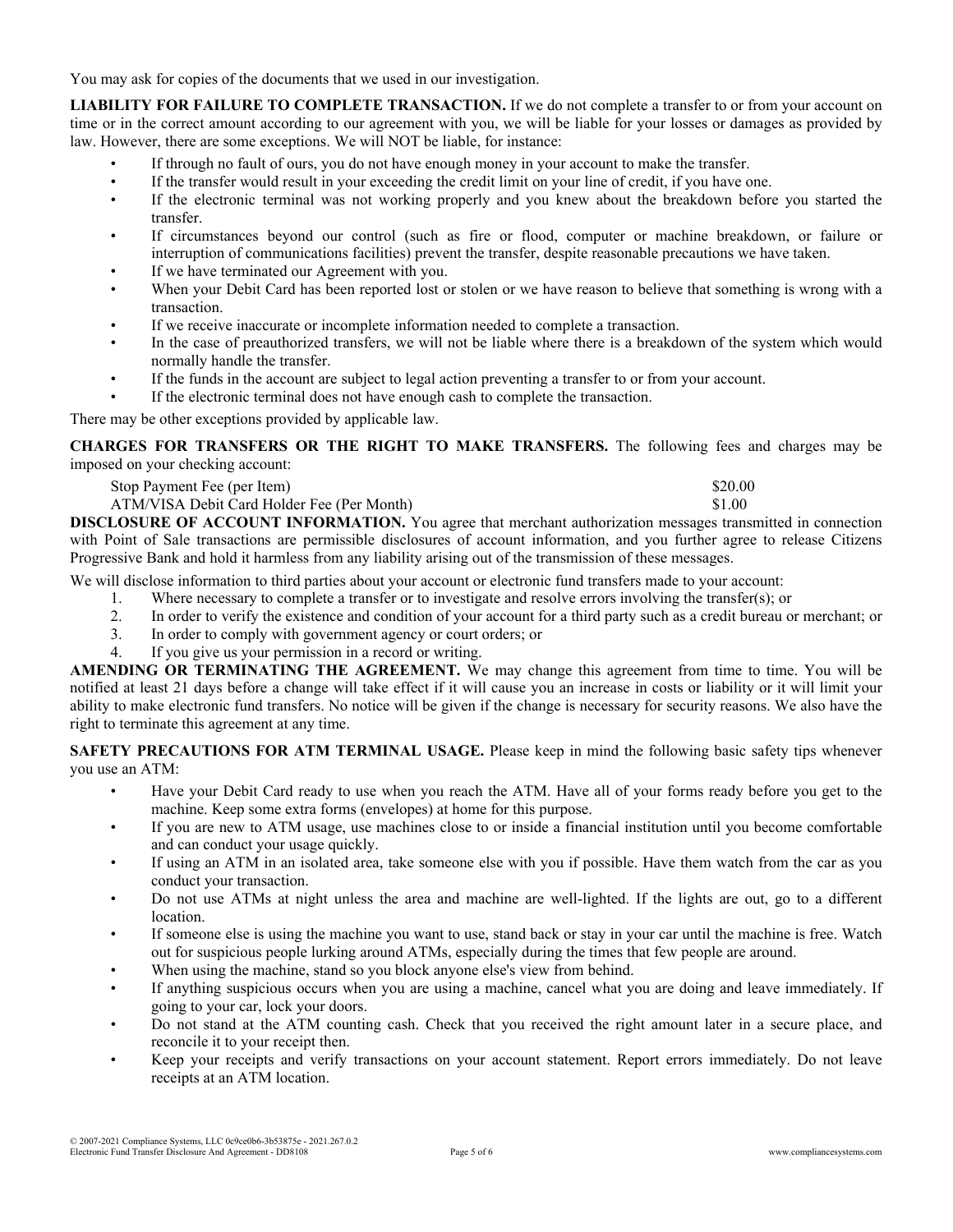You may ask for copies of the documents that we used in our investigation.

**LIABILITY FOR FAILURE TO COMPLETE TRANSACTION.** If we do not complete a transfer to or from your account on time or in the correct amount according to our agreement with you, we will be liable for your losses or damages as provided by law. However, there are some exceptions. We will NOT be liable, for instance:

- If through no fault of ours, you do not have enough money in your account to make the transfer.
- If the transfer would result in your exceeding the credit limit on your line of credit, if you have one.
- If the electronic terminal was not working properly and you knew about the breakdown before you started the transfer.
- If circumstances beyond our control (such as fire or flood, computer or machine breakdown, or failure or interruption of communications facilities) prevent the transfer, despite reasonable precautions we have taken.
- If we have terminated our Agreement with you.
- When your Debit Card has been reported lost or stolen or we have reason to believe that something is wrong with a transaction.
- If we receive inaccurate or incomplete information needed to complete a transaction.
- In the case of preauthorized transfers, we will not be liable where there is a breakdown of the system which would normally handle the transfer.
- If the funds in the account are subject to legal action preventing a transfer to or from your account.
- If the electronic terminal does not have enough cash to complete the transaction.

There may be other exceptions provided by applicable law.

**CHARGES FOR TRANSFERS OR THE RIGHT TO MAKE TRANSFERS.** The following fees and charges may be imposed on your checking account:

Stop Payment Fee (per Item) \$20.00

| a construction of the construction of the construction of the construction of the construction of the construction of the construction of the construction of the construction of the construction of the construction of the |                                            |        |
|-------------------------------------------------------------------------------------------------------------------------------------------------------------------------------------------------------------------------------|--------------------------------------------|--------|
|                                                                                                                                                                                                                               | ATM/VISA Debit Card Holder Fee (Per Month) | \$1.00 |

**DISCLOSURE OF ACCOUNT INFORMATION.** You agree that merchant authorization messages transmitted in connection with Point of Sale transactions are permissible disclosures of account information, and you further agree to release Citizens Progressive Bank and hold it harmless from any liability arising out of the transmission of these messages.

We will disclose information to third parties about your account or electronic fund transfers made to your account:

- 1. Where necessary to complete a transfer or to investigate and resolve errors involving the transfer(s); or
- 2. In order to verify the existence and condition of your account for a third party such as a credit bureau or merchant; or
- 3. In order to comply with government agency or court orders; or
- 4. If you give us your permission in a record or writing.

**AMENDING OR TERMINATING THE AGREEMENT.** We may change this agreement from time to time. You will be notified at least 21 days before a change will take effect if it will cause you an increase in costs or liability or it will limit your ability to make electronic fund transfers. No notice will be given if the change is necessary for security reasons. We also have the right to terminate this agreement at any time.

**SAFETY PRECAUTIONS FOR ATM TERMINAL USAGE.** Please keep in mind the following basic safety tips whenever you use an ATM:

- Have your Debit Card ready to use when you reach the ATM. Have all of your forms ready before you get to the machine. Keep some extra forms (envelopes) at home for this purpose.
- If you are new to ATM usage, use machines close to or inside a financial institution until you become comfortable and can conduct your usage quickly.
- If using an ATM in an isolated area, take someone else with you if possible. Have them watch from the car as you conduct your transaction.
- Do not use ATMs at night unless the area and machine are well-lighted. If the lights are out, go to a different location.
- If someone else is using the machine you want to use, stand back or stay in your car until the machine is free. Watch out for suspicious people lurking around ATMs, especially during the times that few people are around.
- When using the machine, stand so you block anyone else's view from behind.
- If anything suspicious occurs when you are using a machine, cancel what you are doing and leave immediately. If going to your car, lock your doors.
- Do not stand at the ATM counting cash. Check that you received the right amount later in a secure place, and reconcile it to your receipt then.
- Keep your receipts and verify transactions on your account statement. Report errors immediately. Do not leave receipts at an ATM location.